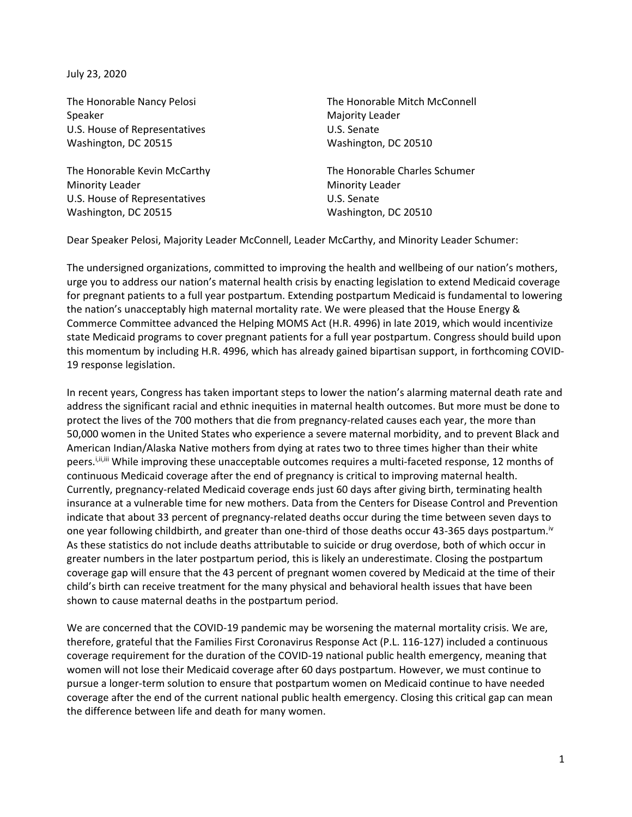July 23, 2020

Speaker Majority Leader U.S. House of Representatives U.S. Senate Washington, DC 20515 Washington, DC 20510

Minority Leader **Minority Leader Minority Leader** U.S. House of Representatives U.S. Senate Washington, DC 20515 Washington, DC 20510

The Honorable Nancy Pelosi The Honorable Mitch McConnell

The Honorable Kevin McCarthy The Honorable Charles Schumer

Dear Speaker Pelosi, Majority Leader McConnell, Leader McCarthy, and Minority Leader Schumer:

The undersigned organizations, committed to improving the health and wellbeing of our nation's mothers, urge you to address our nation's maternal health crisis by enacting legislation to extend Medicaid coverage for pregnant patients to a full year postpartum. Extending postpartum Medicaid is fundamental to lowering the nation's unacceptably high maternal mortality rate. We were pleased that the House Energy & Commerce Committee advanced the Helping MOMS Act (H.R. 4996) in late 2019, which would incentivize state Medicaid programs to cover pregnant patients for a full year postpartum. Congress should build upon this momentum by including H.R. 4996, which has already gained bipartisan support, in forthcoming COVID-19 response legislation.

In recent years, Congress has taken important steps to lower the nation's alarming maternal death rate and address the significant racial and ethnic inequities in maternal health outcomes. But more must be done to protect the lives of the 700 mothers that die from pregnancy-related causes each year, the more than 50,000 women in the United States who experience a severe maternal morbidity, and to prevent Black and American Indian/Alaska Native mothers from dying at rates two to three times higher than their white peers.<sup>j.ii,iii</sup> While improving these unacceptable outcomes requires a multi-faceted response, 12 months of continuous Medicaid coverage after the end of pregnancy is critical to improving maternal health. Currently, pregnancy-related Medicaid coverage ends just 60 days after giving birth, terminating health insurance at a vulnerable time for new mothers. Data from the Centers for Disease Control and Prevention indicate that about 33 percent of pregnancy-related deaths occur during the time between seven days to one year following childbirth, and greater than one-third of those deaths occur 43-365 days postpartum.<sup>iv</sup> As these statistics do not include deaths attributable to suicide or drug overdose, both of which occur in greater numbers in the later postpartum period, this is likely an underestimate. Closing the postpartum coverage gap will ensure that the 43 percent of pregnant women covered by Medicaid at the time of their child's birth can receive treatment for the many physical and behavioral health issues that have been shown to cause maternal deaths in the postpartum period.

We are concerned that the COVID-19 pandemic may be worsening the maternal mortality crisis. We are, therefore, grateful that the Families First Coronavirus Response Act (P.L. 116-127) included a continuous coverage requirement for the duration of the COVID-19 national public health emergency, meaning that women will not lose their Medicaid coverage after 60 days postpartum. However, we must continue to pursue a longer-term solution to ensure that postpartum women on Medicaid continue to have needed coverage after the end of the current national public health emergency. Closing this critical gap can mean the difference between life and death for many women.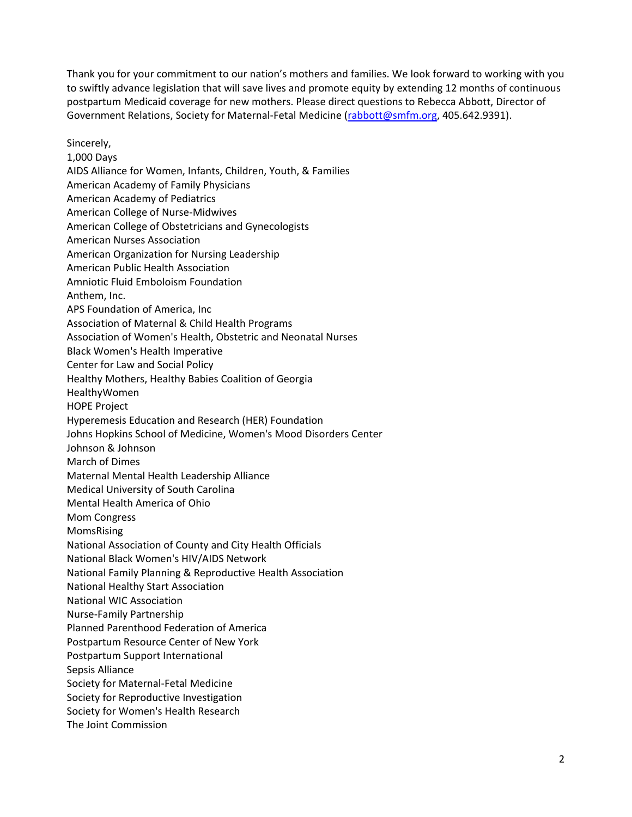Thank you for your commitment to our nation's mothers and families. We look forward to working with you to swiftly advance legislation that will save lives and promote equity by extending 12 months of continuous postpartum Medicaid coverage for new mothers. Please direct questions to Rebecca Abbott, Director of Government Relations, Society for Maternal-Fetal Medicine [\(rabbott@smfm.org,](mailto:rabbott@smfm.org) 405.642.9391).

Sincerely, 1,000 Days AIDS Alliance for Women, Infants, Children, Youth, & Families American Academy of Family Physicians American Academy of Pediatrics American College of Nurse-Midwives American College of Obstetricians and Gynecologists American Nurses Association American Organization for Nursing Leadership American Public Health Association Amniotic Fluid Emboloism Foundation Anthem, Inc. APS Foundation of America, Inc Association of Maternal & Child Health Programs Association of Women's Health, Obstetric and Neonatal Nurses Black Women's Health Imperative Center for Law and Social Policy Healthy Mothers, Healthy Babies Coalition of Georgia HealthyWomen HOPE Project Hyperemesis Education and Research (HER) Foundation Johns Hopkins School of Medicine, Women's Mood Disorders Center Johnson & Johnson March of Dimes Maternal Mental Health Leadership Alliance Medical University of South Carolina Mental Health America of Ohio Mom Congress MomsRising National Association of County and City Health Officials National Black Women's HIV/AIDS Network National Family Planning & Reproductive Health Association National Healthy Start Association National WIC Association Nurse-Family Partnership Planned Parenthood Federation of America Postpartum Resource Center of New York Postpartum Support International Sepsis Alliance Society for Maternal-Fetal Medicine Society for Reproductive Investigation Society for Women's Health Research The Joint Commission